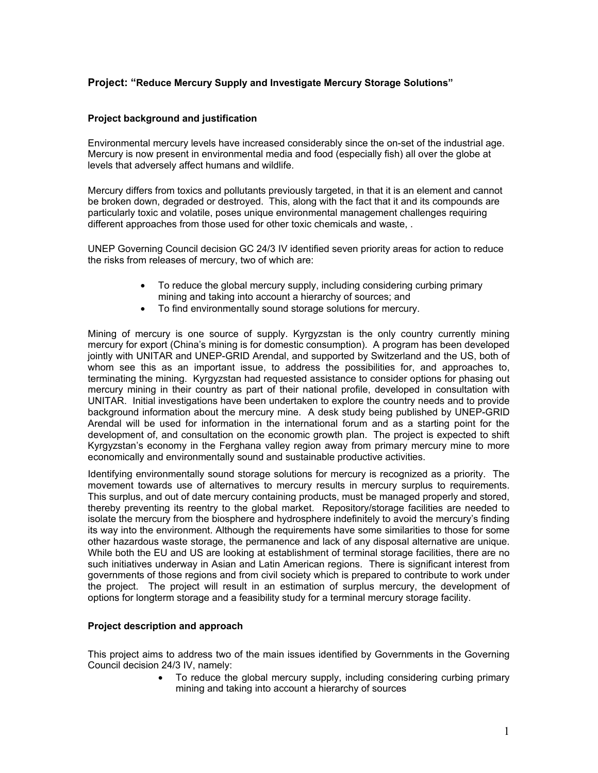# **Project: "Reduce Mercury Supply and Investigate Mercury Storage Solutions"**

# **Project background and justification**

Environmental mercury levels have increased considerably since the on-set of the industrial age. Mercury is now present in environmental media and food (especially fish) all over the globe at levels that adversely affect humans and wildlife.

Mercury differs from toxics and pollutants previously targeted, in that it is an element and cannot be broken down, degraded or destroyed. This, along with the fact that it and its compounds are particularly toxic and volatile, poses unique environmental management challenges requiring different approaches from those used for other toxic chemicals and waste, .

UNEP Governing Council decision GC 24/3 IV identified seven priority areas for action to reduce the risks from releases of mercury, two of which are:

- To reduce the global mercury supply, including considering curbing primary mining and taking into account a hierarchy of sources; and
- To find environmentally sound storage solutions for mercury.

Mining of mercury is one source of supply. Kyrgyzstan is the only country currently mining mercury for export (China's mining is for domestic consumption). A program has been developed jointly with UNITAR and UNEP-GRID Arendal, and supported by Switzerland and the US, both of whom see this as an important issue, to address the possibilities for, and approaches to, terminating the mining. Kyrgyzstan had requested assistance to consider options for phasing out mercury mining in their country as part of their national profile, developed in consultation with UNITAR. Initial investigations have been undertaken to explore the country needs and to provide background information about the mercury mine. A desk study being published by UNEP-GRID Arendal will be used for information in the international forum and as a starting point for the development of, and consultation on the economic growth plan. The project is expected to shift Kyrgyzstan's economy in the Ferghana valley region away from primary mercury mine to more economically and environmentally sound and sustainable productive activities.

Identifying environmentally sound storage solutions for mercury is recognized as a priority. The movement towards use of alternatives to mercury results in mercury surplus to requirements. This surplus, and out of date mercury containing products, must be managed properly and stored, thereby preventing its reentry to the global market. Repository/storage facilities are needed to isolate the mercury from the biosphere and hydrosphere indefinitely to avoid the mercury's finding its way into the environment. Although the requirements have some similarities to those for some other hazardous waste storage, the permanence and lack of any disposal alternative are unique. While both the EU and US are looking at establishment of terminal storage facilities, there are no such initiatives underway in Asian and Latin American regions. There is significant interest from governments of those regions and from civil society which is prepared to contribute to work under the project. The project will result in an estimation of surplus mercury, the development of options for longterm storage and a feasibility study for a terminal mercury storage facility.

### **Project description and approach**

This project aims to address two of the main issues identified by Governments in the Governing Council decision 24/3 IV, namely:

 To reduce the global mercury supply, including considering curbing primary mining and taking into account a hierarchy of sources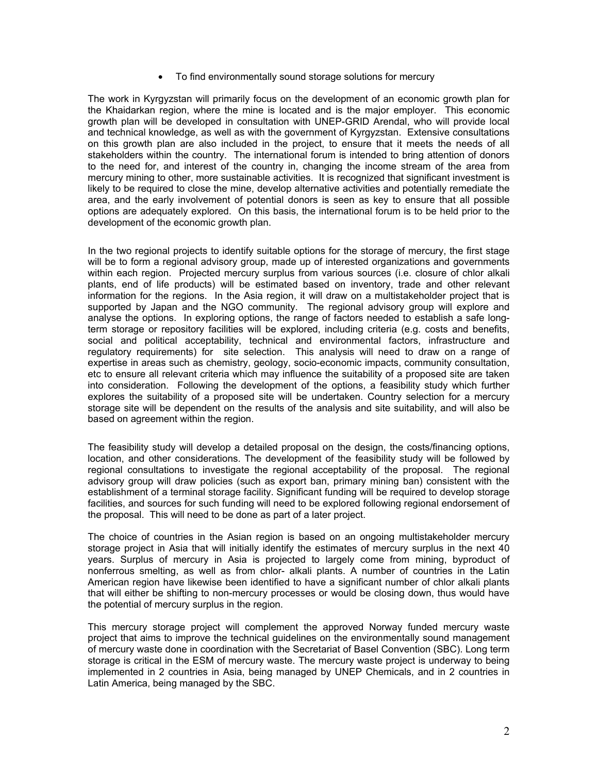• To find environmentally sound storage solutions for mercury

The work in Kyrgyzstan will primarily focus on the development of an economic growth plan for the Khaidarkan region, where the mine is located and is the major employer. This economic growth plan will be developed in consultation with UNEP-GRID Arendal, who will provide local and technical knowledge, as well as with the government of Kyrgyzstan. Extensive consultations on this growth plan are also included in the project, to ensure that it meets the needs of all stakeholders within the country. The international forum is intended to bring attention of donors to the need for, and interest of the country in, changing the income stream of the area from mercury mining to other, more sustainable activities. It is recognized that significant investment is likely to be required to close the mine, develop alternative activities and potentially remediate the area, and the early involvement of potential donors is seen as key to ensure that all possible options are adequately explored. On this basis, the international forum is to be held prior to the development of the economic growth plan.

In the two regional projects to identify suitable options for the storage of mercury, the first stage will be to form a regional advisory group, made up of interested organizations and governments within each region. Projected mercury surplus from various sources (i.e. closure of chlor alkali plants, end of life products) will be estimated based on inventory, trade and other relevant information for the regions. In the Asia region, it will draw on a multistakeholder project that is supported by Japan and the NGO community. The regional advisory group will explore and analyse the options. In exploring options, the range of factors needed to establish a safe longterm storage or repository facilities will be explored, including criteria (e.g. costs and benefits, social and political acceptability, technical and environmental factors, infrastructure and regulatory requirements) for site selection. This analysis will need to draw on a range of expertise in areas such as chemistry, geology, socio-economic impacts, community consultation, etc to ensure all relevant criteria which may influence the suitability of a proposed site are taken into consideration. Following the development of the options, a feasibility study which further explores the suitability of a proposed site will be undertaken. Country selection for a mercury storage site will be dependent on the results of the analysis and site suitability, and will also be based on agreement within the region.

The feasibility study will develop a detailed proposal on the design, the costs/financing options, location, and other considerations. The development of the feasibility study will be followed by regional consultations to investigate the regional acceptability of the proposal. The regional advisory group will draw policies (such as export ban, primary mining ban) consistent with the establishment of a terminal storage facility. Significant funding will be required to develop storage facilities, and sources for such funding will need to be explored following regional endorsement of the proposal. This will need to be done as part of a later project.

The choice of countries in the Asian region is based on an ongoing multistakeholder mercury storage project in Asia that will initially identify the estimates of mercury surplus in the next 40 years. Surplus of mercury in Asia is projected to largely come from mining, byproduct of nonferrous smelting, as well as from chlor- alkali plants. A number of countries in the Latin American region have likewise been identified to have a significant number of chlor alkali plants that will either be shifting to non-mercury processes or would be closing down, thus would have the potential of mercury surplus in the region.

This mercury storage project will complement the approved Norway funded mercury waste project that aims to improve the technical guidelines on the environmentally sound management of mercury waste done in coordination with the Secretariat of Basel Convention (SBC). Long term storage is critical in the ESM of mercury waste. The mercury waste project is underway to being implemented in 2 countries in Asia, being managed by UNEP Chemicals, and in 2 countries in Latin America, being managed by the SBC.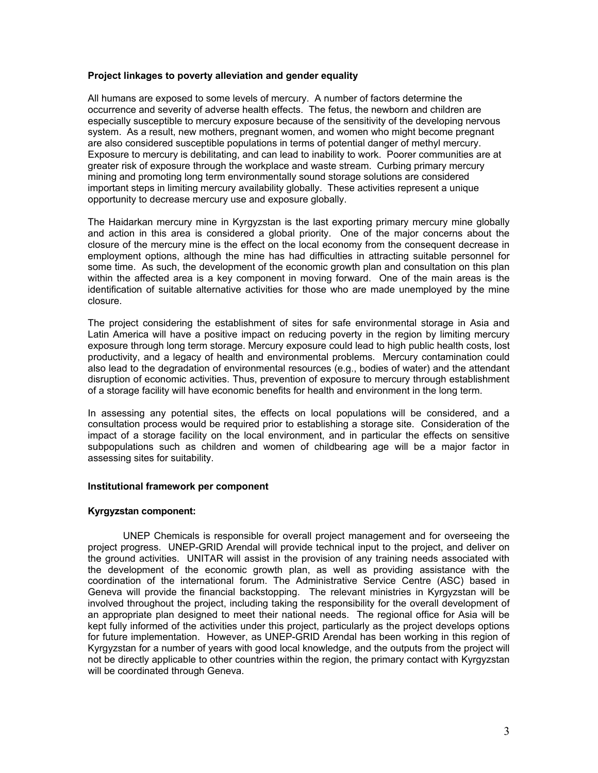# **Project linkages to poverty alleviation and gender equality**

All humans are exposed to some levels of mercury. A number of factors determine the occurrence and severity of adverse health effects. The fetus, the newborn and children are especially susceptible to mercury exposure because of the sensitivity of the developing nervous system. As a result, new mothers, pregnant women, and women who might become pregnant are also considered susceptible populations in terms of potential danger of methyl mercury. Exposure to mercury is debilitating, and can lead to inability to work. Poorer communities are at greater risk of exposure through the workplace and waste stream. Curbing primary mercury mining and promoting long term environmentally sound storage solutions are considered important steps in limiting mercury availability globally. These activities represent a unique opportunity to decrease mercury use and exposure globally.

The Haidarkan mercury mine in Kyrgyzstan is the last exporting primary mercury mine globally and action in this area is considered a global priority. One of the major concerns about the closure of the mercury mine is the effect on the local economy from the consequent decrease in employment options, although the mine has had difficulties in attracting suitable personnel for some time. As such, the development of the economic growth plan and consultation on this plan within the affected area is a key component in moving forward. One of the main areas is the identification of suitable alternative activities for those who are made unemployed by the mine closure.

The project considering the establishment of sites for safe environmental storage in Asia and Latin America will have a positive impact on reducing poverty in the region by limiting mercury exposure through long term storage. Mercury exposure could lead to high public health costs, lost productivity, and a legacy of health and environmental problems. Mercury contamination could also lead to the degradation of environmental resources (e.g., bodies of water) and the attendant disruption of economic activities. Thus, prevention of exposure to mercury through establishment of a storage facility will have economic benefits for health and environment in the long term.

In assessing any potential sites, the effects on local populations will be considered, and a consultation process would be required prior to establishing a storage site. Consideration of the impact of a storage facility on the local environment, and in particular the effects on sensitive subpopulations such as children and women of childbearing age will be a major factor in assessing sites for suitability.

### **Institutional framework per component**

### **Kyrgyzstan component:**

UNEP Chemicals is responsible for overall project management and for overseeing the project progress. UNEP-GRID Arendal will provide technical input to the project, and deliver on the ground activities. UNITAR will assist in the provision of any training needs associated with the development of the economic growth plan, as well as providing assistance with the coordination of the international forum. The Administrative Service Centre (ASC) based in Geneva will provide the financial backstopping. The relevant ministries in Kyrgyzstan will be involved throughout the project, including taking the responsibility for the overall development of an appropriate plan designed to meet their national needs. The regional office for Asia will be kept fully informed of the activities under this project, particularly as the project develops options for future implementation. However, as UNEP-GRID Arendal has been working in this region of Kyrgyzstan for a number of years with good local knowledge, and the outputs from the project will not be directly applicable to other countries within the region, the primary contact with Kyrgyzstan will be coordinated through Geneva.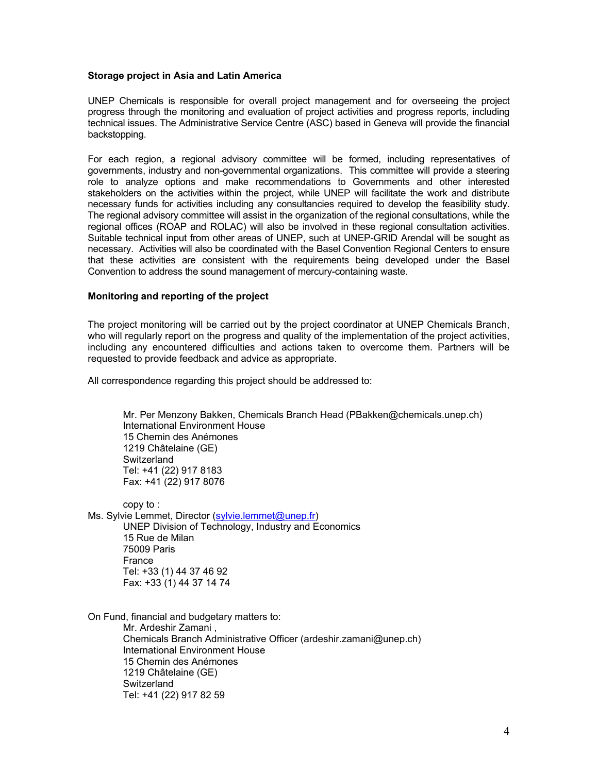#### **Storage project in Asia and Latin America**

UNEP Chemicals is responsible for overall project management and for overseeing the project progress through the monitoring and evaluation of project activities and progress reports, including technical issues. The Administrative Service Centre (ASC) based in Geneva will provide the financial backstopping.

For each region, a regional advisory committee will be formed, including representatives of governments, industry and non-governmental organizations. This committee will provide a steering role to analyze options and make recommendations to Governments and other interested stakeholders on the activities within the project, while UNEP will facilitate the work and distribute necessary funds for activities including any consultancies required to develop the feasibility study. The regional advisory committee will assist in the organization of the regional consultations, while the regional offices (ROAP and ROLAC) will also be involved in these regional consultation activities. Suitable technical input from other areas of UNEP, such at UNEP-GRID Arendal will be sought as necessary. Activities will also be coordinated with the Basel Convention Regional Centers to ensure that these activities are consistent with the requirements being developed under the Basel Convention to address the sound management of mercury-containing waste.

#### **Monitoring and reporting of the project**

The project monitoring will be carried out by the project coordinator at UNEP Chemicals Branch, who will regularly report on the progress and quality of the implementation of the project activities, including any encountered difficulties and actions taken to overcome them. Partners will be requested to provide feedback and advice as appropriate.

All correspondence regarding this project should be addressed to:

Mr. Per Menzony Bakken, Chemicals Branch Head (PBakken@chemicals.unep.ch) International Environment House 15 Chemin des Anémones 1219 Châtelaine (GE) **Switzerland** Tel: +41 (22) 917 8183 Fax: +41 (22) 917 8076

copy to :

Ms. Sylvie Lemmet, Director (sylvie.lemmet@unep.fr) UNEP Division of Technology, Industry and Economics 15 Rue de Milan 75009 Paris **France**  Tel: +33 (1) 44 37 46 92 Fax: +33 (1) 44 37 14 74

On Fund, financial and budgetary matters to: Mr. Ardeshir Zamani ,

Chemicals Branch Administrative Officer (ardeshir.zamani@unep.ch) International Environment House 15 Chemin des Anémones 1219 Châtelaine (GE) **Switzerland** Tel: +41 (22) 917 82 59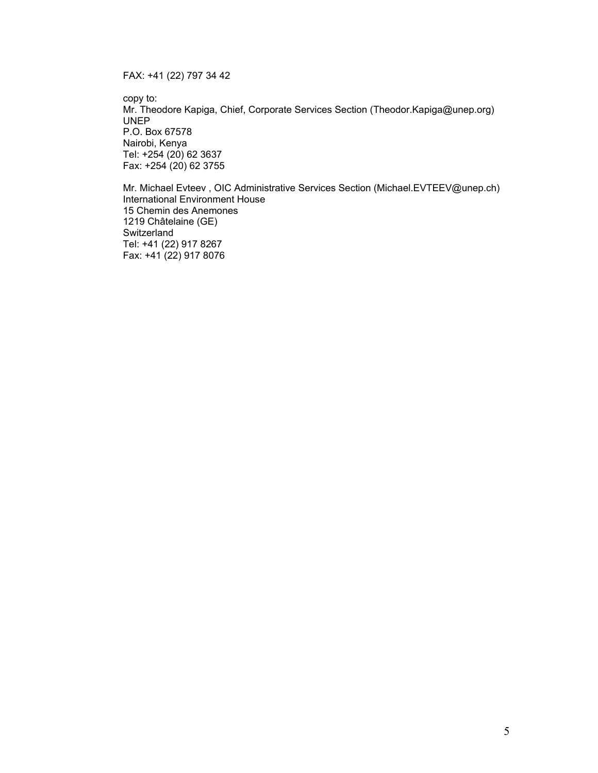FAX: +41 (22) 797 34 42

copy to: Mr. Theodore Kapiga, Chief, Corporate Services Section (Theodor.Kapiga@unep.org) UNEP P.O. Box 67578 Nairobi, Kenya Tel: +254 (20) 62 3637 Fax: +254 (20) 62 3755

 Mr. Michael Evteev , OIC Administrative Services Section (Michael.EVTEEV@unep.ch) International Environment House 15 Chemin des Anemones 1219 Châtelaine (GE) Switzerland Tel: +41 (22) 917 8267 Fax: +41 (22) 917 8076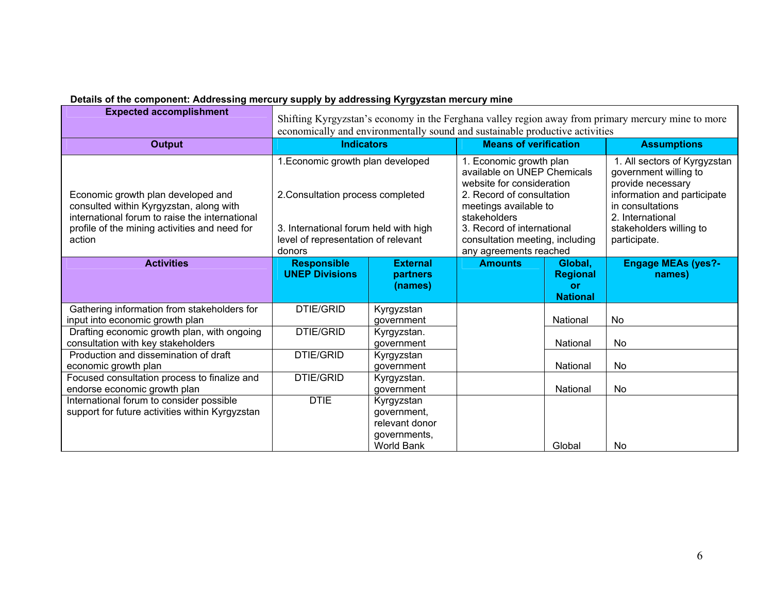|  |  | Details of the component: Addressing mercury supply by addressing Kyrgyzstan mercury mine |  |
|--|--|-------------------------------------------------------------------------------------------|--|
|  |  |                                                                                           |  |

| <b>Expected accomplishment</b>                                                                                                                                                             | Shifting Kyrgyzstan's economy in the Ferghana valley region away from primary mercury mine to more<br>economically and environmentally sound and sustainable productive activities |                                                                                  |                                                                                                                                                                                                                                                      |                                                     |                                                                                                                                                                                              |  |
|--------------------------------------------------------------------------------------------------------------------------------------------------------------------------------------------|------------------------------------------------------------------------------------------------------------------------------------------------------------------------------------|----------------------------------------------------------------------------------|------------------------------------------------------------------------------------------------------------------------------------------------------------------------------------------------------------------------------------------------------|-----------------------------------------------------|----------------------------------------------------------------------------------------------------------------------------------------------------------------------------------------------|--|
| <b>Output</b>                                                                                                                                                                              | <b>Indicators</b>                                                                                                                                                                  |                                                                                  | <b>Means of verification</b>                                                                                                                                                                                                                         |                                                     | <b>Assumptions</b>                                                                                                                                                                           |  |
| Economic growth plan developed and<br>consulted within Kyrgyzstan, along with<br>international forum to raise the international<br>profile of the mining activities and need for<br>action | 1. Economic growth plan developed<br>2. Consultation process completed<br>3. International forum held with high<br>level of representation of relevant<br>donors                   |                                                                                  | 1. Economic growth plan<br>available on UNEP Chemicals<br>website for consideration<br>2. Record of consultation<br>meetings available to<br>stakeholders<br>3. Record of international<br>consultation meeting, including<br>any agreements reached |                                                     | 1. All sectors of Kyrgyzstan<br>government willing to<br>provide necessary<br>information and participate<br>in consultations<br>2. International<br>stakeholders willing to<br>participate. |  |
| <b>Activities</b>                                                                                                                                                                          | <b>Responsible</b><br><b>UNEP Divisions</b>                                                                                                                                        | <b>External</b><br>partners<br>(names)                                           | <b>Amounts</b>                                                                                                                                                                                                                                       | Global,<br><b>Regional</b><br>or<br><b>National</b> | <b>Engage MEAs (yes?-</b><br>names)                                                                                                                                                          |  |
| Gathering information from stakeholders for<br>input into economic growth plan                                                                                                             | <b>DTIE/GRID</b>                                                                                                                                                                   | Kyrgyzstan<br>government                                                         |                                                                                                                                                                                                                                                      | National                                            | No                                                                                                                                                                                           |  |
| Drafting economic growth plan, with ongoing<br>consultation with key stakeholders                                                                                                          | DTIE/GRID                                                                                                                                                                          | Kyrgyzstan.<br>government                                                        |                                                                                                                                                                                                                                                      | National                                            | No                                                                                                                                                                                           |  |
| Production and dissemination of draft<br>economic growth plan                                                                                                                              | <b>DTIE/GRID</b>                                                                                                                                                                   | Kyrgyzstan<br>government                                                         |                                                                                                                                                                                                                                                      | National                                            | No                                                                                                                                                                                           |  |
| Focused consultation process to finalize and<br>endorse economic growth plan                                                                                                               | <b>DTIE/GRID</b>                                                                                                                                                                   | Kyrgyzstan.<br>government                                                        |                                                                                                                                                                                                                                                      | National                                            | No                                                                                                                                                                                           |  |
| International forum to consider possible<br>support for future activities within Kyrgyzstan                                                                                                | <b>DTIE</b>                                                                                                                                                                        | Kyrgyzstan<br>government,<br>relevant donor<br>governments,<br><b>World Bank</b> |                                                                                                                                                                                                                                                      | Global                                              | No                                                                                                                                                                                           |  |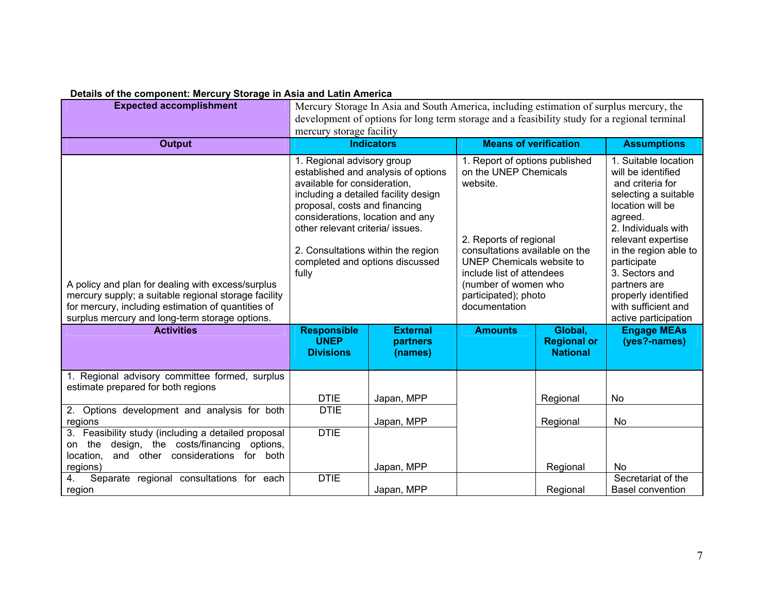| Details of the component. Mercury Otorage in Asia and Eatin America                                                                                                                                               |                                                                                                                                                                                                                                                                                                                                      |                                        |                                                                                                                                                                                                                                                            |                                                  |                                                                                                                                                                                                                                                                                                                    |  |
|-------------------------------------------------------------------------------------------------------------------------------------------------------------------------------------------------------------------|--------------------------------------------------------------------------------------------------------------------------------------------------------------------------------------------------------------------------------------------------------------------------------------------------------------------------------------|----------------------------------------|------------------------------------------------------------------------------------------------------------------------------------------------------------------------------------------------------------------------------------------------------------|--------------------------------------------------|--------------------------------------------------------------------------------------------------------------------------------------------------------------------------------------------------------------------------------------------------------------------------------------------------------------------|--|
| <b>Expected accomplishment</b>                                                                                                                                                                                    | Mercury Storage In Asia and South America, including estimation of surplus mercury, the                                                                                                                                                                                                                                              |                                        |                                                                                                                                                                                                                                                            |                                                  |                                                                                                                                                                                                                                                                                                                    |  |
|                                                                                                                                                                                                                   | development of options for long term storage and a feasibility study for a regional terminal                                                                                                                                                                                                                                         |                                        |                                                                                                                                                                                                                                                            |                                                  |                                                                                                                                                                                                                                                                                                                    |  |
|                                                                                                                                                                                                                   | mercury storage facility                                                                                                                                                                                                                                                                                                             |                                        |                                                                                                                                                                                                                                                            |                                                  |                                                                                                                                                                                                                                                                                                                    |  |
| <b>Output</b>                                                                                                                                                                                                     | <b>Indicators</b>                                                                                                                                                                                                                                                                                                                    |                                        | <b>Means of verification</b>                                                                                                                                                                                                                               |                                                  | <b>Assumptions</b>                                                                                                                                                                                                                                                                                                 |  |
| A policy and plan for dealing with excess/surplus<br>mercury supply; a suitable regional storage facility<br>for mercury, including estimation of quantities of<br>surplus mercury and long-term storage options. | 1. Regional advisory group<br>established and analysis of options<br>available for consideration,<br>including a detailed facility design<br>proposal, costs and financing<br>considerations, location and any<br>other relevant criteria/ issues.<br>2. Consultations within the region<br>completed and options discussed<br>fully |                                        | 1. Report of options published<br>on the UNEP Chemicals<br>website.<br>2. Reports of regional<br>consultations available on the<br>UNEP Chemicals website to<br>include list of attendees<br>(number of women who<br>participated); photo<br>documentation |                                                  | 1. Suitable location<br>will be identified<br>and criteria for<br>selecting a suitable<br>location will be<br>agreed.<br>2. Individuals with<br>relevant expertise<br>in the region able to<br>participate<br>3. Sectors and<br>partners are<br>properly identified<br>with sufficient and<br>active participation |  |
| <b>Activities</b>                                                                                                                                                                                                 | <b>Responsible</b><br><b>UNEP</b><br><b>Divisions</b>                                                                                                                                                                                                                                                                                | <b>External</b><br>partners<br>(names) | <b>Amounts</b>                                                                                                                                                                                                                                             | Global,<br><b>Regional or</b><br><b>National</b> | <b>Engage MEAs</b><br>(yes?-names)                                                                                                                                                                                                                                                                                 |  |
| 1. Regional advisory committee formed, surplus                                                                                                                                                                    |                                                                                                                                                                                                                                                                                                                                      |                                        |                                                                                                                                                                                                                                                            |                                                  |                                                                                                                                                                                                                                                                                                                    |  |
| estimate prepared for both regions                                                                                                                                                                                |                                                                                                                                                                                                                                                                                                                                      |                                        |                                                                                                                                                                                                                                                            |                                                  |                                                                                                                                                                                                                                                                                                                    |  |
|                                                                                                                                                                                                                   | <b>DTIE</b>                                                                                                                                                                                                                                                                                                                          | Japan, MPP                             |                                                                                                                                                                                                                                                            | Regional                                         | No.                                                                                                                                                                                                                                                                                                                |  |
| 2. Options development and analysis for both                                                                                                                                                                      | <b>DTIE</b>                                                                                                                                                                                                                                                                                                                          |                                        |                                                                                                                                                                                                                                                            |                                                  |                                                                                                                                                                                                                                                                                                                    |  |
| regions                                                                                                                                                                                                           |                                                                                                                                                                                                                                                                                                                                      | Japan, MPP                             |                                                                                                                                                                                                                                                            | Regional                                         | <b>No</b>                                                                                                                                                                                                                                                                                                          |  |
| 3. Feasibility study (including a detailed proposal<br>design, the costs/financing options,<br>on the                                                                                                             | <b>DTIE</b>                                                                                                                                                                                                                                                                                                                          |                                        |                                                                                                                                                                                                                                                            |                                                  |                                                                                                                                                                                                                                                                                                                    |  |
| and other considerations for both<br>location,                                                                                                                                                                    |                                                                                                                                                                                                                                                                                                                                      |                                        |                                                                                                                                                                                                                                                            |                                                  |                                                                                                                                                                                                                                                                                                                    |  |
| regions)                                                                                                                                                                                                          |                                                                                                                                                                                                                                                                                                                                      | Japan, MPP                             |                                                                                                                                                                                                                                                            | Regional                                         | <b>No</b>                                                                                                                                                                                                                                                                                                          |  |
| Separate regional consultations for each<br>4.                                                                                                                                                                    | <b>DTIE</b>                                                                                                                                                                                                                                                                                                                          |                                        |                                                                                                                                                                                                                                                            |                                                  | Secretariat of the                                                                                                                                                                                                                                                                                                 |  |
| region                                                                                                                                                                                                            |                                                                                                                                                                                                                                                                                                                                      | Japan, MPP                             |                                                                                                                                                                                                                                                            | Regional                                         | Basel convention                                                                                                                                                                                                                                                                                                   |  |

#### **Details of the component: Mercury Storage in Asia and Latin America**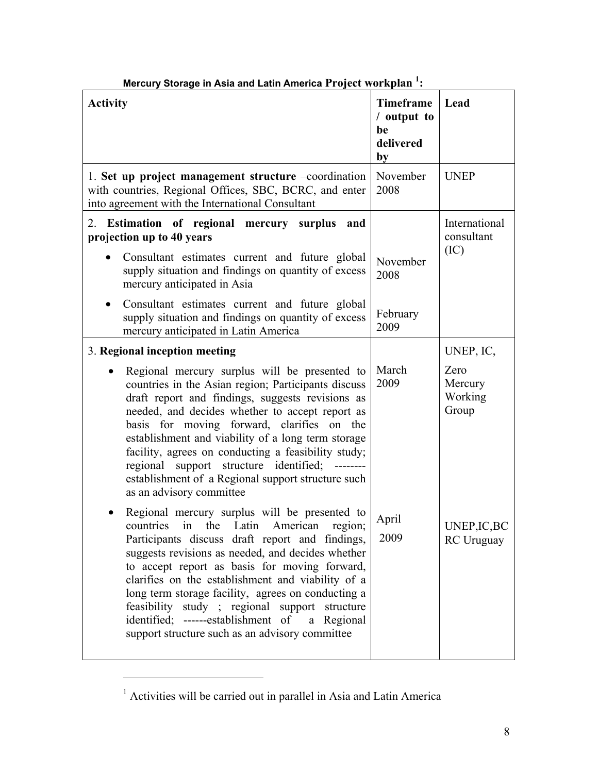| <b>Activity</b>                                                                                                                                                                                                                                                                                                                                                                                                                                                                                                       | <b>Timeframe</b><br>/ output to<br>be<br>delivered<br>by | Lead                                |  |
|-----------------------------------------------------------------------------------------------------------------------------------------------------------------------------------------------------------------------------------------------------------------------------------------------------------------------------------------------------------------------------------------------------------------------------------------------------------------------------------------------------------------------|----------------------------------------------------------|-------------------------------------|--|
| 1. Set up project management structure -coordination<br>with countries, Regional Offices, SBC, BCRC, and enter<br>into agreement with the International Consultant                                                                                                                                                                                                                                                                                                                                                    | November<br>2008                                         | <b>UNEP</b>                         |  |
| 2. Estimation of regional mercury surplus<br>and<br>projection up to 40 years                                                                                                                                                                                                                                                                                                                                                                                                                                         |                                                          | International<br>consultant         |  |
| Consultant estimates current and future global<br>supply situation and findings on quantity of excess<br>mercury anticipated in Asia                                                                                                                                                                                                                                                                                                                                                                                  | November<br>2008                                         | (IC)                                |  |
| Consultant estimates current and future global<br>$\bullet$<br>supply situation and findings on quantity of excess<br>mercury anticipated in Latin America                                                                                                                                                                                                                                                                                                                                                            | February<br>2009                                         |                                     |  |
| 3. Regional inception meeting                                                                                                                                                                                                                                                                                                                                                                                                                                                                                         |                                                          | UNEP, IC,                           |  |
| Regional mercury surplus will be presented to<br>countries in the Asian region; Participants discuss<br>draft report and findings, suggests revisions as<br>needed, and decides whether to accept report as<br>basis for moving forward, clarifies on the<br>establishment and viability of a long term storage<br>facility, agrees on conducting a feasibility study;<br>regional support structure identified;<br>establishment of a Regional support structure such<br>as an advisory committee                    | March<br>2009                                            | Zero<br>Mercury<br>Working<br>Group |  |
| Regional mercury surplus will be presented to<br>countries in the Latin American region;<br>Participants discuss draft report and findings,<br>suggests revisions as needed, and decides whether<br>to accept report as basis for moving forward,<br>clarifies on the establishment and viability of a<br>long term storage facility, agrees on conducting a<br>feasibility study ; regional support structure<br>identified; ------establishment of<br>a Regional<br>support structure such as an advisory committee | April<br>2009                                            | UNEP, IC, BC<br><b>RC</b> Uruguay   |  |

# **Mercury Storage in Asia and Latin America Project workplan <sup>1</sup> :**

 $\overline{a}$ 

<sup>&</sup>lt;sup>1</sup> Activities will be carried out in parallel in Asia and Latin America